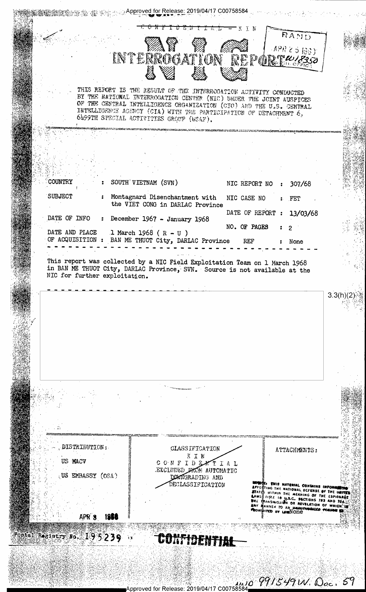**魏敦勁家袋 秦 多第三系Ap<u>proved</u> for Release: 2019/04/17 C00758584** KTN RAND  $APR 2 5 198$ INTERROGATION REPOI 2 T W 18350 THIS REFORT IS THE RESULT OF THE INTERROGATION ACTIVITY CONDUCTED BY THE NATIONAL INTERROGATION CENTER (NIC) UNDER THE JOINT AUSPICES OF THE CENTRAL INTELLIGENCE CRGANIZATION (CIO) AND THE U.S. GENTRAL INTELLIGENCE AGENCY (CIA) WITH THE PARTICIPATION OF DETACHMENT  $6_x$ 6499TH SPECIAL ACTIVITIES GROUP (USAF). COUNTRY SOUTH VIETNAM (SVN) NIC REPORT NO 307/68 **SUBJECT** Montagnard Disenchantment with NIC CASE NO FET the VIET CONG in DARLAC Province DATE OF REPORT 13/03/68 DATE OF INFO December 1967 - January 1968 NO. OF PAGES  $\overline{c}$ DATE AND PLACE 1 March 1968 ( $R - U$ ) OF ACQUISITION : BAN ME THUOT City, DARLAC Province **REF** None This report was collected by a NIC Field Exploitation Team on 1 March 1968<br>in BAN ME THUOT City, DARLAC Province, SVN. Source is not available at the NIC for further exploitation.  $3.3(h)(2)$ DISTRIBUTION: **CLASSIFICATION** ATTACHMENTS: KIN US MACV CONFIDE - T **TAL** EXCLUDED FROM AUTOMATIC US EMBASSY (OSA) DOWNGRADING AND DECLASSIFICATION ING THE NATIONAL DEFENSE OF THE UNITED **CONTRACT THE MEANING OF THE URITED**<br>CITALE 10 U.S.C., SECTIONS 783 AND 784.20<br>ANSNISSION OR REVELATION OF WHICH THE NAME TO AN IMMERSION OF WHICH WITHIN THE MEANING OF ANNER TO AN UNAUTHE APR 3 1951 Fostal Registry No. 195239 CONTIDENTIA

,,,,,o 991549W. Ooc. 59 pproved for Release: 2019/04/17 C00758